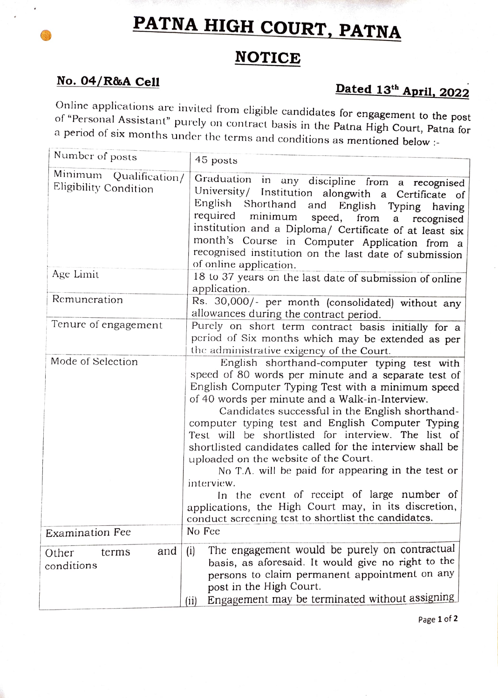## PATNA HIGH COURT, PATNA

## **NOTICE**

No. 04/R&A Cell Dated 13<sup>th</sup> April, 2022<br>Online applications are invited from eligible candidates for engagement to the post of "Personal Assistant" purely on contract basis in the Patna High Court, Patna for<br>a period of six months under the terms and conditions as mentioned below :-

| Number of posts                                 | 45 posts                                                                                                                                                                                                                                                                                                                                                                                                                                                                                                                                                                                                                                                                                                      |
|-------------------------------------------------|---------------------------------------------------------------------------------------------------------------------------------------------------------------------------------------------------------------------------------------------------------------------------------------------------------------------------------------------------------------------------------------------------------------------------------------------------------------------------------------------------------------------------------------------------------------------------------------------------------------------------------------------------------------------------------------------------------------|
| Minimum Qualification/<br>Eligibility Condition | Graduation in any discipline from a recognised<br>University/ Institution alongwith a Certificate of<br>English<br>Shorthand and<br>English Typing<br>having<br>required<br>minimum speed, from<br>a<br>recognised<br>institution and a Diploma/ Certificate of at least six<br>month's Course in Computer Application from a<br>recognised institution on the last date of submission<br>of online application.                                                                                                                                                                                                                                                                                              |
| Age Limit                                       | 18 to 37 years on the last date of submission of online<br>application.                                                                                                                                                                                                                                                                                                                                                                                                                                                                                                                                                                                                                                       |
| Remuneration                                    | Rs. 30,000/- per month (consolidated) without any<br>allowances during the contract period.                                                                                                                                                                                                                                                                                                                                                                                                                                                                                                                                                                                                                   |
| Tenure of engagement                            | Purely on short term contract basis initially for a<br>period of Six months which may be extended as per<br>the administrative exigency of the Court.                                                                                                                                                                                                                                                                                                                                                                                                                                                                                                                                                         |
| Mode of Selection                               | English shorthand-computer typing test with<br>speed of 80 words per minute and a separate test of<br>English Computer Typing Test with a minimum speed<br>of 40 words per minute and a Walk-in-Interview.<br>Candidates successful in the English shorthand-<br>computer typing test and English Computer Typing<br>Test will be shortlisted for interview. The list of<br>shortlisted candidates called for the interview shall be<br>uploaded on the website of the Court.<br>No T.A. will be paid for appearing in the test or<br>interview.<br>In the event of receipt of large number of<br>applications, the High Court may, in its discretion,<br>conduct screening test to shortlist the candidates. |
| <b>Examination Fee</b>                          | No Fee                                                                                                                                                                                                                                                                                                                                                                                                                                                                                                                                                                                                                                                                                                        |
| and<br>Other<br>terms<br>conditions             | The engagement would be purely on contractual<br>(i)<br>basis, as aforesaid. It would give no right to the<br>persons to claim permanent appointment on any<br>post in the High Court.<br>Engagement may be terminated without assigning<br>(ii)                                                                                                                                                                                                                                                                                                                                                                                                                                                              |

Page 1 of 2